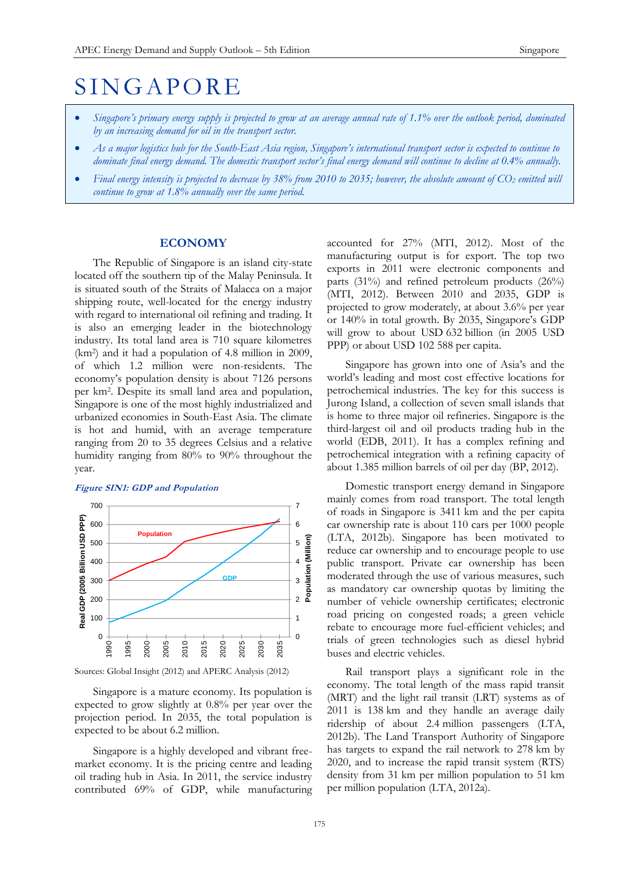# **SINGAPORE**

- *Singapore's primary energy supply is projected to grow at an average annual rate of 1.1% over the outlook period, dominated by an increasing demand for oil in the transport sector.*
- *As a major logistics hub for the South-East Asia region, Singapore's international transport sector is expected to continue to dominate final energy demand. The domestic transport sector's final energy demand will continue to decline at 0.4% annually.*
- *Final energy intensity is projected to decrease by 38% from 2010 to 2035; however, the absolute amount of CO<sup>2</sup> emitted will continue to grow at 1.8% annually over the same period.*

# **ECONOMY**

The Republic of Singapore is an island city-state located off the southern tip of the Malay Peninsula. It is situated south of the Straits of Malacca on a major shipping route, well-located for the energy industry with regard to international oil refining and trading. It is also an emerging leader in the biotechnology industry. Its total land area is 710 square kilometres (km<sup>2</sup> ) and it had a population of 4.8 million in 2009, of which 1.2 million were non-residents. The economy's population density is about 7126 persons per km<sup>2</sup> . Despite its small land area and population, Singapore is one of the most highly industrialized and urbanized economies in South-East Asia. The climate is hot and humid, with an average temperature ranging from 20 to 35 degrees Celsius and a relative humidity ranging from 80% to 90% throughout the year.

#### **Figure SIN1: GDP and Population**



Sources: Global Insight (2012) and APERC Analysis (2012)

Singapore is a mature economy. Its population is expected to grow slightly at 0.8% per year over the projection period. In 2035, the total population is expected to be about 6.2 million.

Singapore is a highly developed and vibrant freemarket economy. It is the pricing centre and leading oil trading hub in Asia. In 2011, the service industry contributed 69% of GDP, while manufacturing accounted for 27% (MTI, 2012). Most of the manufacturing output is for export. The top two exports in 2011 were electronic components and parts (31%) and refined petroleum products (26%) (MTI, 2012). Between 2010 and 2035, GDP is projected to grow moderately, at about 3.6% per year or 140% in total growth. By 2035, Singapore's GDP will grow to about USD 632 billion (in 2005 USD PPP) or about USD 102 588 per capita.

Singapore has grown into one of Asia's and the world's leading and most cost effective locations for petrochemical industries. The key for this success is Jurong Island, a collection of seven small islands that is home to three major oil refineries. Singapore is the third-largest oil and oil products trading hub in the world (EDB, 2011). It has a complex refining and petrochemical integration with a refining capacity of about 1.385 million barrels of oil per day (BP, 2012).

Domestic transport energy demand in Singapore mainly comes from road transport. The total length of roads in Singapore is 3411 km and the per capita car ownership rate is about 110 cars per 1000 people (LTA, 2012b). Singapore has been motivated to reduce car ownership and to encourage people to use public transport. Private car ownership has been moderated through the use of various measures, such as mandatory car ownership quotas by limiting the number of vehicle ownership certificates; electronic road pricing on congested roads; a green vehicle rebate to encourage more fuel-efficient vehicles; and trials of green technologies such as diesel hybrid buses and electric vehicles.

Rail transport plays a significant role in the economy. The total length of the mass rapid transit (MRT) and the light rail transit (LRT) systems as of 2011 is 138 km and they handle an average daily ridership of about 2.4 million passengers (LTA, 2012b). The Land Transport Authority of Singapore has targets to expand the rail network to 278 km by 2020, and to increase the rapid transit system (RTS) density from 31 km per million population to 51 km per million population (LTA, 2012a).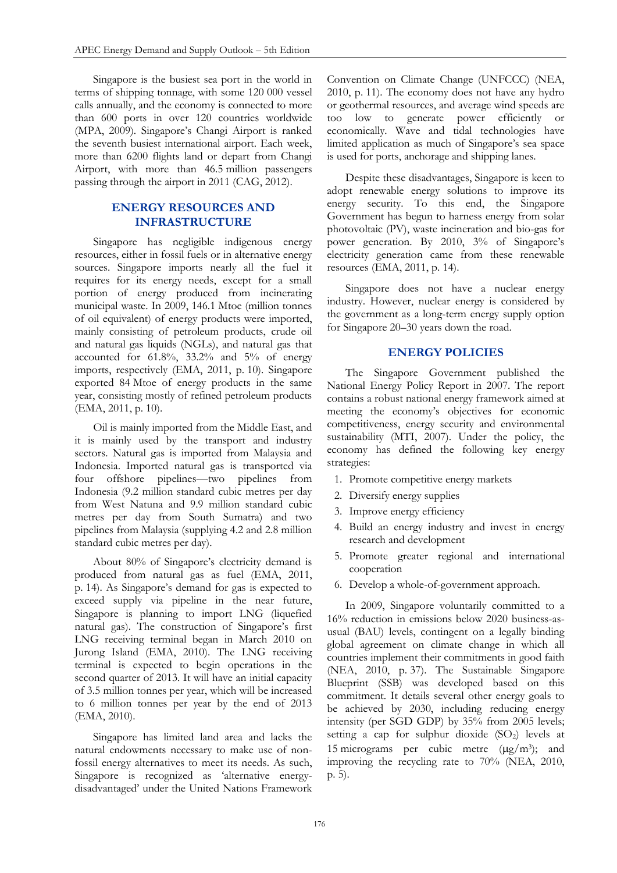Singapore is the busiest sea port in the world in terms of shipping tonnage, with some 120 000 vessel calls annually, and the economy is connected to more than 600 ports in over 120 countries worldwide (MPA, 2009). Singapore's Changi Airport is ranked the seventh busiest international airport. Each week, more than 6200 flights land or depart from Changi Airport, with more than 46.5 million passengers passing through the airport in 2011 (CAG, 2012).

# **ENERGY RESOURCES AND INFRASTRUCTURE**

Singapore has negligible indigenous energy resources, either in fossil fuels or in alternative energy sources. Singapore imports nearly all the fuel it requires for its energy needs, except for a small portion of energy produced from incinerating municipal waste. In 2009, 146.1 Mtoe (million tonnes of oil equivalent) of energy products were imported, mainly consisting of petroleum products, crude oil and natural gas liquids (NGLs), and natural gas that accounted for 61.8%, 33.2% and 5% of energy imports, respectively (EMA, 2011, p. 10). Singapore exported 84 Mtoe of energy products in the same year, consisting mostly of refined petroleum products (EMA, 2011, p. 10).

Oil is mainly imported from the Middle East, and it is mainly used by the transport and industry sectors. Natural gas is imported from Malaysia and Indonesia. Imported natural gas is transported via four offshore pipelines—two pipelines from Indonesia (9.2 million standard cubic metres per day from West Natuna and 9.9 million standard cubic metres per day from South Sumatra) and two pipelines from Malaysia (supplying 4.2 and 2.8 million standard cubic metres per day).

About 80% of Singapore's electricity demand is produced from natural gas as fuel (EMA, 2011, p. 14). As Singapore's demand for gas is expected to exceed supply via pipeline in the near future, Singapore is planning to import LNG (liquefied natural gas). The construction of Singapore's first LNG receiving terminal began in March 2010 on Jurong Island (EMA, 2010). The LNG receiving terminal is expected to begin operations in the second quarter of 2013. It will have an initial capacity of 3.5 million tonnes per year, which will be increased to 6 million tonnes per year by the end of 2013 (EMA, 2010).

Singapore has limited land area and lacks the natural endowments necessary to make use of nonfossil energy alternatives to meet its needs. As such, Singapore is recognized as 'alternative energydisadvantaged' under the United Nations Framework Convention on Climate Change (UNFCCC) (NEA, 2010, p. 11). The economy does not have any hydro or geothermal resources, and average wind speeds are too low to generate power efficiently or economically. Wave and tidal technologies have limited application as much of Singapore's sea space is used for ports, anchorage and shipping lanes.

Despite these disadvantages, Singapore is keen to adopt renewable energy solutions to improve its energy security. To this end, the Singapore Government has begun to harness energy from solar photovoltaic (PV), waste incineration and bio-gas for power generation. By 2010, 3% of Singapore's electricity generation came from these renewable resources (EMA, 2011, p. 14).

Singapore does not have a nuclear energy industry. However, nuclear energy is considered by the government as a long-term energy supply option for Singapore 20–30 years down the road.

# **ENERGY POLICIES**

The Singapore Government published the National Energy Policy Report in 2007. The report contains a robust national energy framework aimed at meeting the economy's objectives for economic competitiveness, energy security and environmental sustainability (MTI, 2007). Under the policy, the economy has defined the following key energy strategies:

- 1. Promote competitive energy markets
- 2. Diversify energy supplies
- 3. Improve energy efficiency
- 4. Build an energy industry and invest in energy research and development
- 5. Promote greater regional and international cooperation
- 6. Develop a whole-of-government approach.

In 2009, Singapore voluntarily committed to a 16% reduction in emissions below 2020 business-asusual (BAU) levels, contingent on a legally binding global agreement on climate change in which all countries implement their commitments in good faith (NEA, 2010, p. 37). The Sustainable Singapore Blueprint (SSB) was developed based on this commitment. It details several other energy goals to be achieved by 2030, including reducing energy intensity (per SGD GDP) by 35% from 2005 levels; setting a cap for sulphur dioxide  $(SO_2)$  levels at 15 micrograms per cubic metre  $(\mu g/m^3)$ ; and improving the recycling rate to 70% (NEA, 2010, p. 5).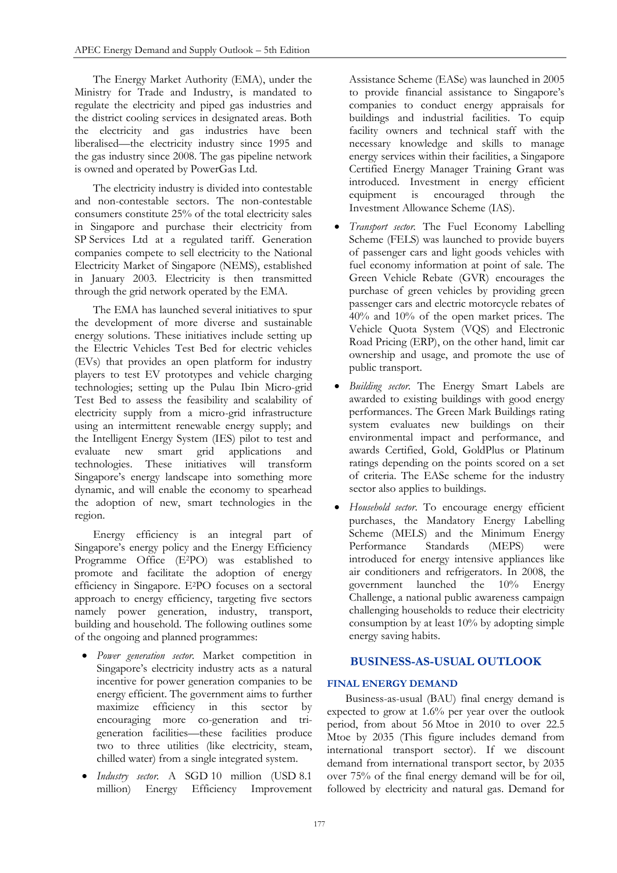The Energy Market Authority (EMA), under the Ministry for Trade and Industry, is mandated to regulate the electricity and piped gas industries and the district cooling services in designated areas. Both the electricity and gas industries have been liberalised—the electricity industry since 1995 and the gas industry since 2008. The gas pipeline network is owned and operated by PowerGas Ltd.

The electricity industry is divided into contestable and non-contestable sectors. The non-contestable consumers constitute 25% of the total electricity sales in Singapore and purchase their electricity from SP Services Ltd at a regulated tariff. Generation companies compete to sell electricity to the National Electricity Market of Singapore (NEMS), established in January 2003. Electricity is then transmitted through the grid network operated by the EMA.

The EMA has launched several initiatives to spur the development of more diverse and sustainable energy solutions. These initiatives include setting up the Electric Vehicles Test Bed for electric vehicles (EVs) that provides an open platform for industry players to test EV prototypes and vehicle charging technologies; setting up the Pulau Ibin Micro-grid Test Bed to assess the feasibility and scalability of electricity supply from a micro-grid infrastructure using an intermittent renewable energy supply; and the Intelligent Energy System (IES) pilot to test and<br>evaluate new smart grid applications and evaluate new smart grid applications and technologies. These initiatives will transform Singapore's energy landscape into something more dynamic, and will enable the economy to spearhead the adoption of new, smart technologies in the region.

Energy efficiency is an integral part of Singapore's energy policy and the Energy Efficiency Programme Office (E2PO) was established to promote and facilitate the adoption of energy efficiency in Singapore. E2PO focuses on a sectoral approach to energy efficiency, targeting five sectors namely power generation, industry, transport, building and household. The following outlines some of the ongoing and planned programmes:

- *Power generation sector.* Market competition in Singapore's electricity industry acts as a natural incentive for power generation companies to be energy efficient. The government aims to further maximize efficiency in this sector by encouraging more co-generation and trigeneration facilities—these facilities produce two to three utilities (like electricity, steam, chilled water) from a single integrated system.
- *Industry sector.* A SGD 10 million (USD 8.1 million) Energy Efficiency Improvement

Assistance Scheme (EASe) was launched in 2005 to provide financial assistance to Singapore's companies to conduct energy appraisals for buildings and industrial facilities. To equip facility owners and technical staff with the necessary knowledge and skills to manage energy services within their facilities, a Singapore Certified Energy Manager Training Grant was introduced. Investment in energy efficient equipment is encouraged through the Investment Allowance Scheme (IAS).

- *Transport sector.* The Fuel Economy Labelling Scheme (FELS) was launched to provide buyers of passenger cars and light goods vehicles with fuel economy information at point of sale. The Green Vehicle Rebate (GVR) encourages the purchase of green vehicles by providing green passenger cars and electric motorcycle rebates of 40% and 10% of the open market prices. The Vehicle Quota System (VQS) and Electronic Road Pricing (ERP), on the other hand, limit car ownership and usage, and promote the use of public transport.
- *Building sector.* The Energy Smart Labels are awarded to existing buildings with good energy performances. The Green Mark Buildings rating system evaluates new buildings on their environmental impact and performance, and awards Certified, Gold, GoldPlus or Platinum ratings depending on the points scored on a set of criteria. The EASe scheme for the industry sector also applies to buildings.
- *Household sector*. To encourage energy efficient purchases, the Mandatory Energy Labelling Scheme (MELS) and the Minimum Energy Performance Standards (MEPS) were introduced for energy intensive appliances like air conditioners and refrigerators. In 2008, the government launched the 10% Energy Challenge, a national public awareness campaign challenging households to reduce their electricity consumption by at least 10% by adopting simple energy saving habits.

# **BUSINESS-AS-USUAL OUTLOOK**

# **FINAL ENERGY DEMAND**

Business-as-usual (BAU) final energy demand is expected to grow at 1.6% per year over the outlook period, from about 56 Mtoe in 2010 to over 22.5 Mtoe by 2035 (This figure includes demand from international transport sector). If we discount demand from international transport sector, by 2035 over 75% of the final energy demand will be for oil, followed by electricity and natural gas. Demand for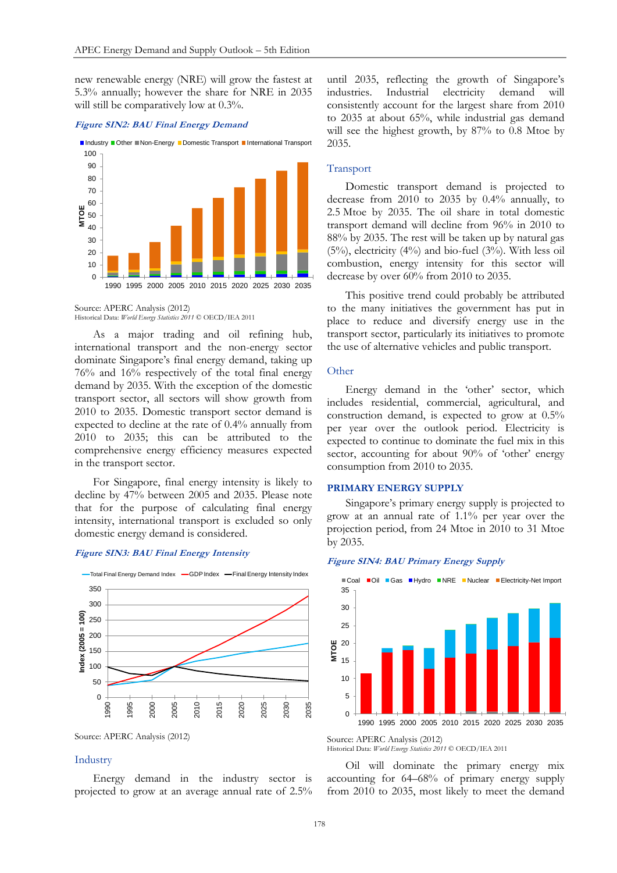new renewable energy (NRE) will grow the fastest at 5.3% annually; however the share for NRE in 2035 will still be comparatively low at 0.3%.

#### **Figure SIN2: BAU Final Energy Demand**



Source: APERC Analysis (2012) Historical Data: *World Energy Statistics 2011* © OECD/IEA 2011

As a major trading and oil refining hub, international transport and the non-energy sector dominate Singapore's final energy demand, taking up 76% and 16% respectively of the total final energy demand by 2035. With the exception of the domestic transport sector, all sectors will show growth from 2010 to 2035. Domestic transport sector demand is expected to decline at the rate of 0.4% annually from 2010 to 2035; this can be attributed to the comprehensive energy efficiency measures expected in the transport sector.

For Singapore, final energy intensity is likely to decline by 47% between 2005 and 2035. Please note that for the purpose of calculating final energy intensity, international transport is excluded so only domestic energy demand is considered.

### **Figure SIN3: BAU Final Energy Intensity**



Source: APERC Analysis (2012)

## Industry

Energy demand in the industry sector is projected to grow at an average annual rate of 2.5% until 2035, reflecting the growth of Singapore's industries. Industrial electricity demand will consistently account for the largest share from 2010 to 2035 at about 65%, while industrial gas demand will see the highest growth, by 87% to 0.8 Mtoe by 2035.

## Transport

Domestic transport demand is projected to decrease from 2010 to 2035 by 0.4% annually, to 2.5 Mtoe by 2035. The oil share in total domestic transport demand will decline from 96% in 2010 to 88% by 2035. The rest will be taken up by natural gas  $(5%)$ , electricity  $(4%)$  and bio-fuel  $(3%)$ . With less oil combustion, energy intensity for this sector will decrease by over 60% from 2010 to 2035.

This positive trend could probably be attributed to the many initiatives the government has put in place to reduce and diversify energy use in the transport sector, particularly its initiatives to promote the use of alternative vehicles and public transport.

### **Other**

Energy demand in the 'other' sector, which includes residential, commercial, agricultural, and construction demand, is expected to grow at 0.5% per year over the outlook period. Electricity is expected to continue to dominate the fuel mix in this sector, accounting for about 90% of 'other' energy consumption from 2010 to 2035.

#### **PRIMARY ENERGY SUPPLY**

Singapore's primary energy supply is projected to grow at an annual rate of 1.1% per year over the projection period, from 24 Mtoe in 2010 to 31 Mtoe by 2035.

#### **Figure SIN4: BAU Primary Energy Supply**



Source: APERC Analysis (2012)

Historical Data: *World Energy Statistics 2011* © OECD/IEA 2011

Oil will dominate the primary energy mix accounting for 64–68% of primary energy supply from 2010 to 2035, most likely to meet the demand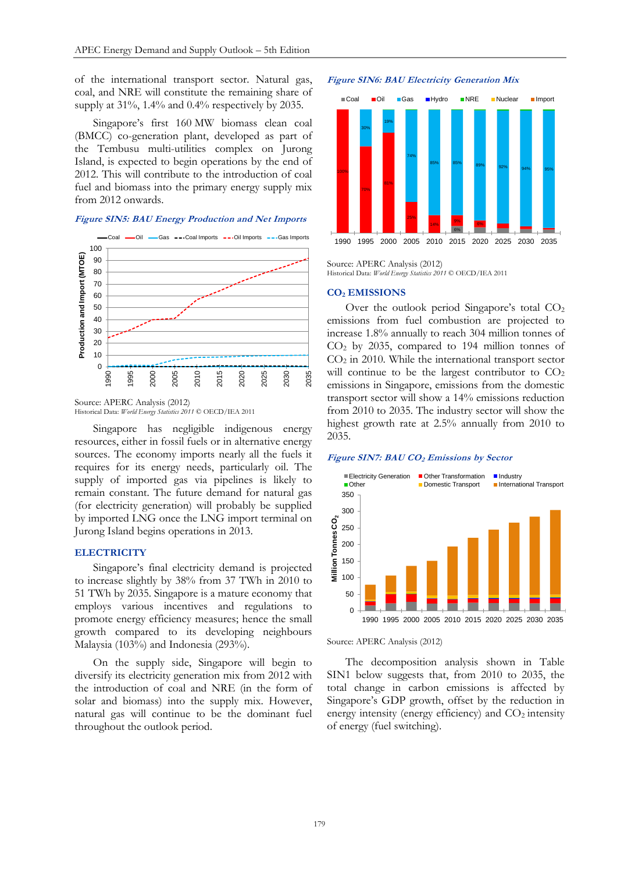of the international transport sector. Natural gas, coal, and NRE will constitute the remaining share of supply at 31%, 1.4% and 0.4% respectively by 2035.

Singapore's first 160 MW biomass clean coal (BMCC) co-generation plant, developed as part of the Tembusu multi-utilities complex on Jurong Island, is expected to begin operations by the end of 2012. This will contribute to the introduction of coal fuel and biomass into the primary energy supply mix from 2012 onwards.

#### **Figure SIN5: BAU Energy Production and Net Imports**



Source: APERC Analysis (2012) Historical Data: *World Energy Statistics 2011* © OECD/IEA 2011

Singapore has negligible indigenous energy resources, either in fossil fuels or in alternative energy sources. The economy imports nearly all the fuels it requires for its energy needs, particularly oil. The supply of imported gas via pipelines is likely to remain constant. The future demand for natural gas (for electricity generation) will probably be supplied by imported LNG once the LNG import terminal on Jurong Island begins operations in 2013.

#### **ELECTRICITY**

Singapore's final electricity demand is projected to increase slightly by 38% from 37 TWh in 2010 to 51 TWh by 2035. Singapore is a mature economy that employs various incentives and regulations to promote energy efficiency measures; hence the small growth compared to its developing neighbours Malaysia (103%) and Indonesia (293%).

On the supply side, Singapore will begin to diversify its electricity generation mix from 2012 with the introduction of coal and NRE (in the form of solar and biomass) into the supply mix. However, natural gas will continue to be the dominant fuel throughout the outlook period.

#### **Figure SIN6: BAU Electricity Generation Mix**



Source: APERC Analysis (2012) Historical Data: *World Energy Statistics 2011* © OECD/IEA 2011

#### **CO<sup>2</sup> EMISSIONS**

Over the outlook period Singapore's total  $CO<sub>2</sub>$ emissions from fuel combustion are projected to increase 1.8% annually to reach 304 million tonnes of CO<sup>2</sup> by 2035, compared to 194 million tonnes of  $CO<sub>2</sub>$  in 2010. While the international transport sector will continue to be the largest contributor to  $CO<sub>2</sub>$ emissions in Singapore, emissions from the domestic transport sector will show a 14% emissions reduction from 2010 to 2035. The industry sector will show the highest growth rate at 2.5% annually from 2010 to 2035.

## **Figure SIN7: BAU CO<sup>2</sup> Emissions by Sector**



Source: APERC Analysis (2012)

The decomposition analysis shown in Table SIN1 below suggests that, from 2010 to 2035, the total change in carbon emissions is affected by Singapore's GDP growth, offset by the reduction in energy intensity (energy efficiency) and  $CO<sub>2</sub>$  intensity of energy (fuel switching).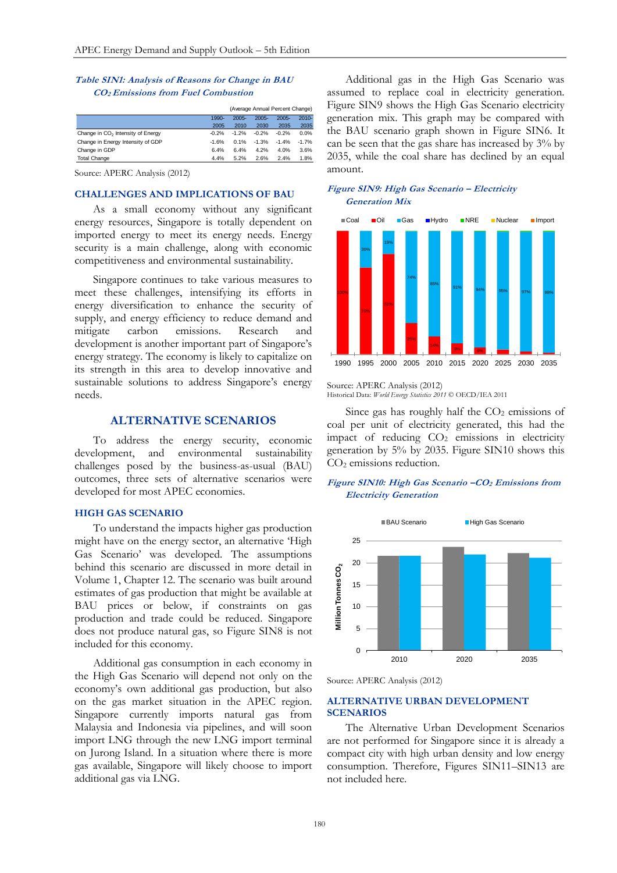## **Table SIN1: Analysis of Reasons for Change in BAU CO2 Emissions from Fuel Combustion**

|                                               | (Average Annual Percent Change) |          |          |          |          |
|-----------------------------------------------|---------------------------------|----------|----------|----------|----------|
|                                               | 1990-                           | $2005 -$ | $2005 -$ | $2005 -$ | $2010 -$ |
|                                               | 2005                            | 2010     | 2030     | 2035     | 2035     |
| Change in CO <sub>2</sub> Intensity of Energy | $-0.2%$                         | $-1.2%$  | $-0.2%$  | $-0.2%$  | 0.0%     |
| Change in Energy Intensity of GDP             | $-1.6%$                         | 0.1%     | $-1.3%$  | $-1.4%$  | $-1.7%$  |
| Change in GDP                                 | 6.4%                            | 6.4%     | 4.2%     | 4.0%     | 3.6%     |
| <b>Total Change</b>                           | 4.4%                            | 5.2%     | 2.6%     | 2.4%     | 1.8%     |

Source: APERC Analysis (2012)

#### **CHALLENGES AND IMPLICATIONS OF BAU**

As a small economy without any significant energy resources, Singapore is totally dependent on imported energy to meet its energy needs. Energy security is a main challenge, along with economic competitiveness and environmental sustainability.

Singapore continues to take various measures to meet these challenges, intensifying its efforts in energy diversification to enhance the security of supply, and energy efficiency to reduce demand and mitigate carbon emissions. Research and development is another important part of Singapore's energy strategy. The economy is likely to capitalize on its strength in this area to develop innovative and sustainable solutions to address Singapore's energy needs.

# **ALTERNATIVE SCENARIOS**

To address the energy security, economic development, and environmental sustainability challenges posed by the business-as-usual (BAU) outcomes, three sets of alternative scenarios were developed for most APEC economies.

#### **HIGH GAS SCENARIO**

To understand the impacts higher gas production might have on the energy sector, an alternative 'High Gas Scenario' was developed. The assumptions behind this scenario are discussed in more detail in Volume 1, Chapter 12. The scenario was built around estimates of gas production that might be available at BAU prices or below, if constraints on gas production and trade could be reduced. Singapore does not produce natural gas, so Figure SIN8 is not included for this economy.

Additional gas consumption in each economy in the High Gas Scenario will depend not only on the economy's own additional gas production, but also on the gas market situation in the APEC region. Singapore currently imports natural gas from Malaysia and Indonesia via pipelines, and will soon import LNG through the new LNG import terminal on Jurong Island. In a situation where there is more gas available, Singapore will likely choose to import additional gas via LNG.

Additional gas in the High Gas Scenario was assumed to replace coal in electricity generation. Figure SIN9 shows the High Gas Scenario electricity generation mix. This graph may be compared with the BAU scenario graph shown in Figure SIN6. It can be seen that the gas share has increased by 3% by 2035, while the coal share has declined by an equal amount.

## **Figure SIN9: High Gas Scenario – Electricity Generation Mix**



Source: APERC Analysis (2012) Historical Data: *World Energy Statistics 2011* © OECD/IEA 2011

Since gas has roughly half the  $CO<sub>2</sub>$  emissions of coal per unit of electricity generated, this had the impact of reducing CO<sub>2</sub> emissions in electricity generation by 5% by 2035. Figure SIN10 shows this CO<sub>2</sub> emissions reduction.

**Figure SIN10: High Gas Scenario –CO<sup>2</sup> Emissions from Electricity Generation**



Source: APERC Analysis (2012)

## **ALTERNATIVE URBAN DEVELOPMENT SCENARIOS**

The Alternative Urban Development Scenarios are not performed for Singapore since it is already a compact city with high urban density and low energy consumption. Therefore, Figures SIN11–SIN13 are not included here.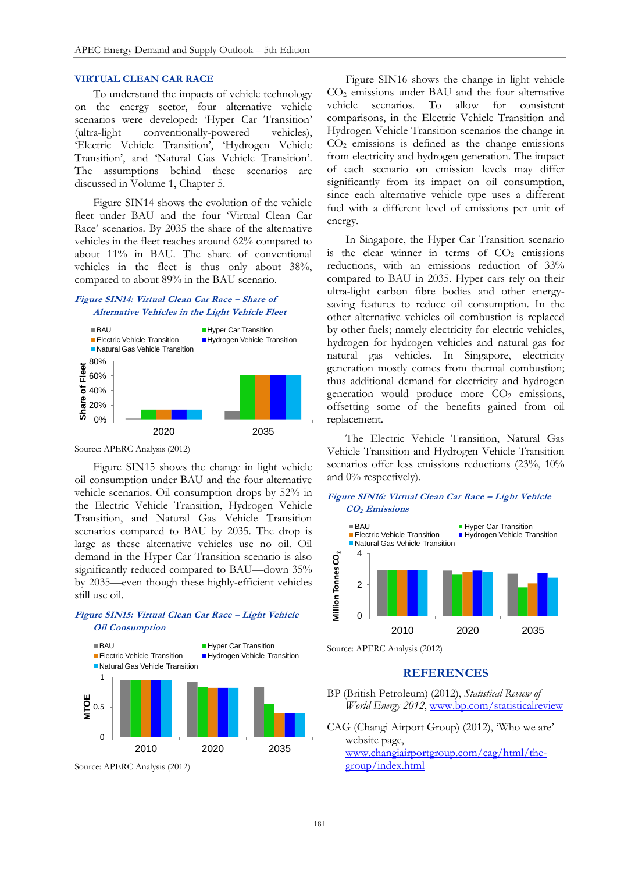## **VIRTUAL CLEAN CAR RACE**

To understand the impacts of vehicle technology on the energy sector, four alternative vehicle scenarios were developed: 'Hyper Car Transition' (ultra-light conventionally-powered vehicles), 'Electric Vehicle Transition', 'Hydrogen Vehicle Transition', and 'Natural Gas Vehicle Transition'. The assumptions behind these scenarios are discussed in Volume 1, Chapter 5.

Figure SIN14 shows the evolution of the vehicle fleet under BAU and the four 'Virtual Clean Car Race' scenarios. By 2035 the share of the alternative vehicles in the fleet reaches around 62% compared to about 11% in BAU. The share of conventional vehicles in the fleet is thus only about 38%, compared to about 89% in the BAU scenario.

## **Figure SIN14: Virtual Clean Car Race – Share of Alternative Vehicles in the Light Vehicle Fleet**



Source: APERC Analysis (2012)

Figure SIN15 shows the change in light vehicle oil consumption under BAU and the four alternative vehicle scenarios. Oil consumption drops by 52% in the Electric Vehicle Transition, Hydrogen Vehicle Transition, and Natural Gas Vehicle Transition scenarios compared to BAU by 2035. The drop is large as these alternative vehicles use no oil. Oil demand in the Hyper Car Transition scenario is also significantly reduced compared to BAU—down 35% by 2035—even though these highly-efficient vehicles still use oil.

## **Figure SIN15: Virtual Clean Car Race – Light Vehicle Oil Consumption**



Source: APERC Analysis (2012)

Figure SIN16 shows the change in light vehicle CO<sup>2</sup> emissions under BAU and the four alternative vehicle scenarios. To allow for consistent comparisons, in the Electric Vehicle Transition and Hydrogen Vehicle Transition scenarios the change in  $CO<sub>2</sub>$  emissions is defined as the change emissions from electricity and hydrogen generation. The impact of each scenario on emission levels may differ significantly from its impact on oil consumption, since each alternative vehicle type uses a different fuel with a different level of emissions per unit of energy.

In Singapore, the Hyper Car Transition scenario is the clear winner in terms of  $CO<sub>2</sub>$  emissions reductions, with an emissions reduction of 33% compared to BAU in 2035. Hyper cars rely on their ultra-light carbon fibre bodies and other energysaving features to reduce oil consumption. In the other alternative vehicles oil combustion is replaced by other fuels; namely electricity for electric vehicles, hydrogen for hydrogen vehicles and natural gas for natural gas vehicles. In Singapore, electricity generation mostly comes from thermal combustion; thus additional demand for electricity and hydrogen generation would produce more  $CO<sub>2</sub>$  emissions, offsetting some of the benefits gained from oil replacement.

The Electric Vehicle Transition, Natural Gas Vehicle Transition and Hydrogen Vehicle Transition scenarios offer less emissions reductions (23%, 10% and 0% respectively).

## **Figure SIN16: Virtual Clean Car Race – Light Vehicle CO2 Emissions**



Source: APERC Analysis (2012)

# **REFERENCES**

- BP (British Petroleum) (2012), *Statistical Review of World Energy 2012*[, www.bp.com/statisticalreview](http://www.bp.com/statisticalreview)
- CAG (Changi Airport Group) (2012), 'Who we are' website page, [www.changiairportgroup.com/cag/html/the](http://www.changiairportgroup.com/cag/html/the-group/index.html)[group/index.html](http://www.changiairportgroup.com/cag/html/the-group/index.html)